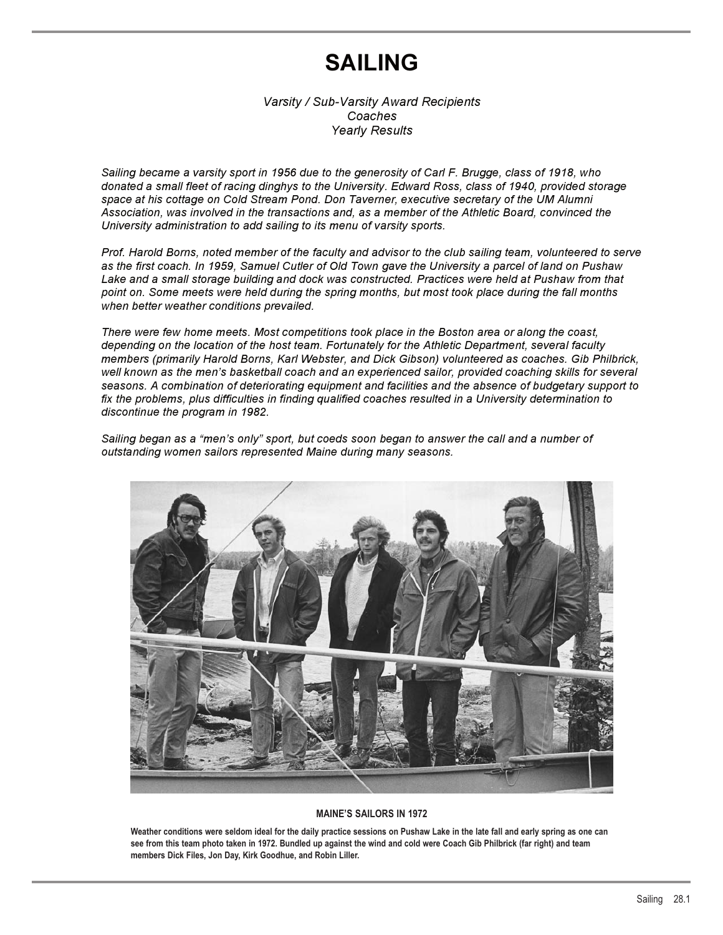# **SAILING**

*Varsity / Sub-Varsity Award Recipients Coaches Yearly Results*

*Sailing became a varsity sport in 1956 due to the generosity of Carl F. Brugge, class of 1918, who donated a small fleet of racing dinghys to the University. Edward Ross, class of 1940, provided storage space at his cottage on Cold Stream Pond. Don Taverner, executive secretary of the UM Alumni Association, was involved in the transactions and, as a member of the Athletic Board, convinced the University administration to add sailing to its menu of varsity sports.*

*Prof. Harold Borns, noted member of the faculty and advisor to the club sailing team, volunteered to serve as the first coach. In 1959, Samuel Cutler of Old Town gave the University a parcel of land on Pushaw Lake and a small storage building and dock was constructed. Practices were held at Pushaw from that point on. Some meets were held during the spring months, but most took place during the fall months when better weather conditions prevailed.*

*There were few home meets. Most competitions took place in the Boston area or along the coast, depending on the location of the host team. Fortunately for the Athletic Department, several faculty members (primarily Harold Borns, Karl Webster, and Dick Gibson) volunteered as coaches. Gib Philbrick, well known as the men's basketball coach and an experienced sailor, provided coaching skills for several seasons. A combination of deteriorating equipment and facilities and the absence of budgetary support to fix the problems, plus difficulties in finding qualified coaches resulted in a University determination to discontinue the program in 1982.*

*Sailing began as a "men's only" sport, but coeds soon began to answer the call and a number of outstanding women sailors represented Maine during many seasons.*



### **MAINE'S SAILORS IN 1972**

**Weather conditions were seldom ideal for the daily practice sessions on Pushaw Lake in the late fall and early spring as one can see from this team photo taken in 1972. Bundled up against the wind and cold were Coach Gib Philbrick (far right) and team members Dick Files, Jon Day, Kirk Goodhue, and Robin Liller.**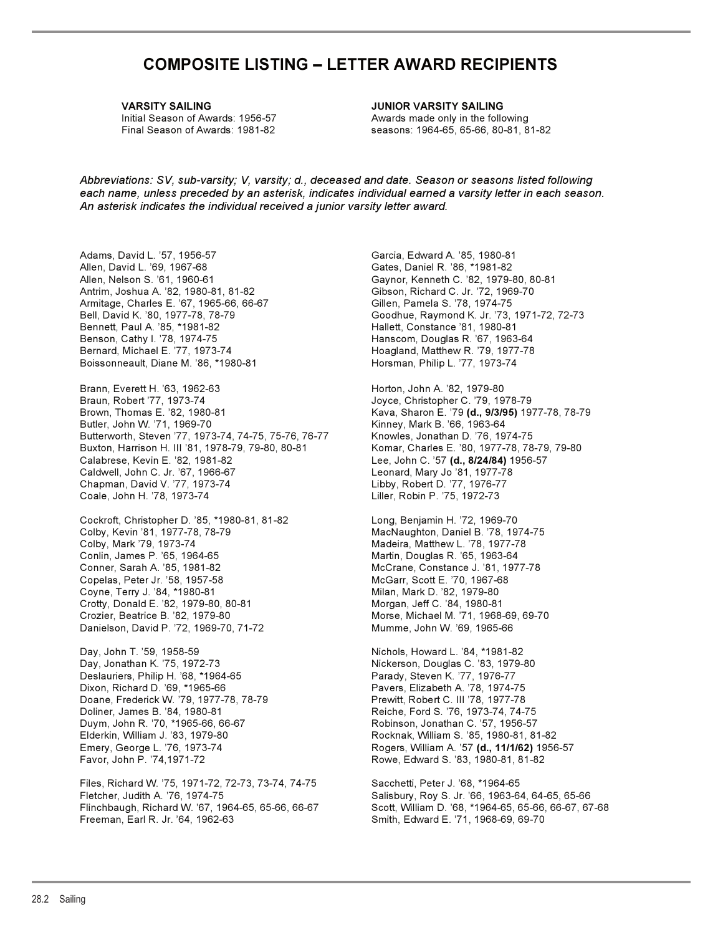## **COMPOSITE LISTING – LETTER AWARD RECIPIENTS**

**VARSITY SAILING JUNIOR VARSITY SAILING**

Initial Season of Awards: 1956-57 Awards made only in the following Final Season of Awards: 1981-82 seasons: 1964-65, 65-66, 80-81, 81-82

*Abbreviations: SV, sub-varsity; V, varsity; d., deceased and date. Season or seasons listed following each name, unless preceded by an asterisk, indicates individual earned a varsity letter in each season. An asterisk indicates the individual received a junior varsity letter award.*

Adams, David L. '57, 1956-57 Garcia, Edward A. '85, 1980-81 Allen, David L. '69, 1967-68 Gates, Daniel R. '86, \*1981-82 Allen, Nelson S. '61, 1960-61 Gaynor, Kenneth C. '82, 1979-80, 80-81 Antrim, Joshua A. '82, 1980-81, 81-82 Gibson, Richard C. Jr. '72, 1969-70 Armitage, Charles E. '67, 1965-66, 66-67 Gillen, Pamela S. '78, 1974-75 Bennett, Paul A. '85, \*1981-82 Hallett, Constance '81, 1980-81 Benson, Cathy I. '78, 1974-75 **Hanscom, Douglas R. '67, 1963-64** Bernard, Michael E. '77, 1973-74 Hoagland, Matthew R. '79, 1977-78 Boissonneault, Diane M. '86, \*1980-81 **Horsman, Philip L. '77, 1973-74** 

Brann, Everett H. '63, 1962-63 Horton, John A. '82, 1979-80<br>Braun, Robert '77, 1973-74 Joyce, Christopher C. '79, 19 Brown, Thomas E. '82, 1980-81 **Kava, Sharon E. '79 (d., 9/3/95)** 1977-78, 78-79 Butler, John W. '71, 1969-70 Kinney, Mark B. '66, 1963-64 Butterworth, Steven '77, 1973-74, 74-75, 75-76, 76-77 Knowles, Jonathan D. '76, 1974-75 Buxton, Harrison H. III '81, 1978-79, 79-80, 80-81 Komar, Charles E. '80, 1977-78, 78-79, 79-80 Calabrese, Kevin E. '82, 1981-82 Lee, John C. '57 **(d., 8/24/84)** 1956-57 Caldwell, John C. Jr. '67, 1966-67 Leonard, Mary Jo '81, 1977-78 Chapman, David V. '77, 1973-74 Libby, Robert D. '77, 1976-77 Coale, John H. '78, 1973-74 Liller, Robin P. '75, 1972-73

Cockroft, Christopher D. '85, \*1980-81, 81-82 Long, Benjamin H. '72, 1969-70 Colby, Kevin '81, 1977-78, 78-79 MacNaughton, Daniel B. '78, 1974-75 Colby, Mark '79, 1973-74 Madeira, Matthew L. '78, 1977-78 Conlin, James P. '65, 1964-65 Martin, Douglas R. '65, 1963-64 Conner, Sarah A. '85, 1981-82 McCrane, Constance J. '81, 1977-78 Copelas, Peter Jr. '58, 1957-58 McGarr, Scott E. '70, 1967-68 Coyne, Terry J. '84, \*1980-81 Milan, Mark D. '82, 1979-80 Crotty, Donald E. '82, 1979-80, 80-81 Morgan, Jeff C. '84, 1980-81 Crozier, Beatrice B. '82, 1979-80 Morse, Michael M. '71, 1968-69, 69-70 Danielson, David P. '72, 1969-70, 71-72 Mumme, John W. '69, 1965-66

Day, John T. '59, 1958-59 Nichols, Howard L. '84, \*1981-82 Day, Jonathan K. '75, 1972-73 Nickerson, Douglas C. '83, 1979-80 Deslauriers, Philip H. '68, \*1964-65 Parady, Steven K. '77, 1976-77 Dixon, Richard D. '69, \*1965-66 Pavers, Elizabeth A. '78, 1974-75<br>Doane, Frederick W. '79, 1977-78, 78-79 Prewitt, Robert C. III '78, 1977-78 Doane, Frederick W. '79, 1977-78, 78-79 Doliner, James B. '84, 1980-81 Reiche, Ford S. '76, 1973-74, 74-75 Duym, John R. '70, \*1965-66, 66-67 Robinson, Jonathan C. '57, 1956-57 Elderkin, William J. '83, 1979-80 Rocknak, William S. '85, 1980-81, 81-82 Favor, John P. '74,1971-72 Rowe, Edward S. '83, 1980-81, 81-82

Files, Richard W. '75, 1971-72, 72-73, 73-74, 74-75 Sacchetti, Peter J. '68, \*1964-65 Fletcher, Judith A. '76, 1974-75 Salisbury, Roy S. Jr. '66, 1963-64, 64-65, 65-66 Flinchbaugh, Richard W. '67, 1964-65, 65-66, 66-67 Scott, William D. '68, \*1964-65, 65-66, 66-67, 67-68 Freeman, Earl R. Jr. '64, 1962-63 Smith, Edward E. '71, 1968-69, 69-70

Bell, David K. '80, 1977-78, 78-79 Goodhue, Raymond K. Jr. '73, 1971-72, 72-73

Joyce, Christopher C. '79, 1978-79

Emery, George L. '76, 1973-74 Rogers, William A. '57 **(d., 11/1/62)** 1956-57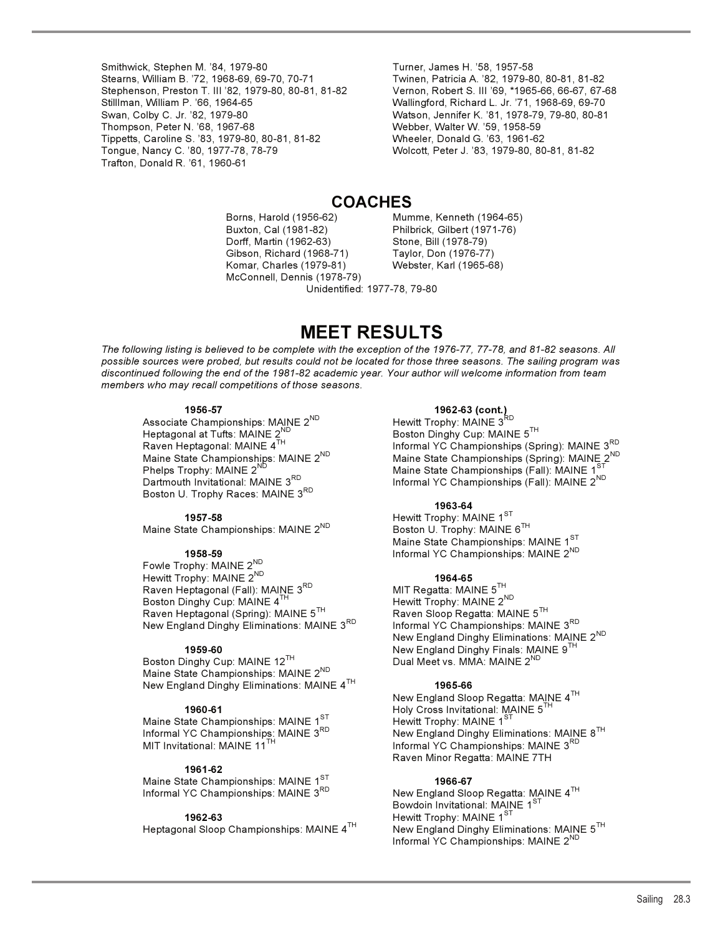Smithwick, Stephen M. '84, 1979-80<br>Stearns, William B. '72, 1968-69, 69-70, 70-71 Twinen, Patricia A. '82, 1979-8 Stephenson, Preston T. III '82, 1979-80, 80-81, 81-82 Vernon, Robert S. III '69, \*1965-66, 66-67, 67-68 Swan, Colby C. Jr. '82, 1979-80 Watson, Jennifer K. '81, 1978-79, 79-80, 80-81 Thompson, Peter N. '68, 1967-68 Webber, Walter W. '59, 1958-59 Tippetts, Caroline S. '83, 1979-80, 80-81, 81-82 Wheeler, Donald G. '63, 1961-62 Tongue, Nancy C. '80, 1977-78, 78-79 Wolcott, Peter J. '83, 1979-80, 80-81, 81-82 Trafton, Donald R. '61, 1960-61

Twinen, Patricia A. '82, 1979-80, 80-81, 81-82 Wallingford, Richard L. Jr. '71, 1968-69, 69-70

## **COACHES**

 Buxton, Cal (1981-82) Philbrick, Gilbert (1971-76) Dorff, Martin (1962-63) Stone, Bill (1978-79) Gibson, Richard (1968-71) Taylor, Don (1976-77) Komar, Charles (1979-81) Webster, Karl (1965-68) McConnell, Dennis (1978-79)

Borns, Harold (1956-62) Mumme, Kenneth (1964-65)

Unidentified: 1977-78, 79-80

## **MEET RESULTS**

*The following listing is believed to be complete with the exception of the 1976-77, 77-78, and 81-82 seasons. All possible sources were probed, but results could not be located for those three seasons. The sailing program was discontinued following the end of the 1981-82 academic year. Your author will welcome information from team members who may recall competitions of those seasons.*

**1956-57 1962-63 (cont.)** Associate Championships: MAINE 2<sup>ND</sup><br>Heptagonal at Tufts: MAINE 2<sup>ND</sup> Heptagonal at Tufts: MAINE  $2^{ND}$ <br>
Raven Heptagonal: MAINE  $4^{TH}$ <br>
Boston Dinghy Cup: MAINE  $5^{TH}$ <br>
Informal YC Championships (Sp Boston U. Trophy Races: MAINE 3RD

Maine State Championships: MAINE 2<sup>ND</sup>

Fowle Trophy: MAINE 2<sup>ND</sup> Hewitt Trophy: MAINE 2<sup>ND</sup> **1964-65**<br>Raven Heptagonal (Fall): MAINE 3<sup>RD</sup> MIT Regatta: MAINE 5<sup>TH</sup> Raven Heptagonal (Fall): MAINE 3RD Boston Dinghy Cup: MAINE  $4^{TH}$ <br>Raven Heptagonal (Spring): MAINE  $5^{TH}$ <br>Raven Sloop Regatta: MAINE  $5^{TH}$ Raven Heptagonal (Spring): MAINE  $5^{TH}$  Raven Sloop Regatta: MAINE  $5^{TH}$  New England Dinghy Eliminations: MAINE  $3^{RD}$  Informal YC Championships: MAINE  $3^{RD}$ New England Dinghy Eliminations: MAINE  $3^{\text{RD}}$ 

Boston Dinghy Cup: MAINE 12TH Maine State Championships: MAINE 2<sup>ND</sup> New England Dinghy Eliminations: MAINE 4TH **1965-66**

Maine State Championships: MAINE 1<sup>ST</sup><br>Informal YC Championships: MAINE 3<sup>RD</sup>

## **1961-62**

Maine State Championships: MAINE 1<sup>ST</sup> **1966-67**<br>Informal YC Championships: MAINE 3<sup>RD</sup> New England Slow

Raven Heptagonal: MAINE 4<sup>TH</sup> Informal YC Championships (Spring): MAINE 3<sup>RD</sup><br>Maine State Championships: MAINE 2<sup>ND</sup> Maine State Championships (Spring): MAINE 2<sup>ND</sup> Maine State Championships: MAINE 2<sup>ND</sup> Maine State Championships (Spring): MAINE 2<sup>ND</sup><br>Phelps Trophy: MAINE 2<sup>ND</sup> Phelps Trophy: MAINE 2<sup>ND</sup> Maine State Championships (Fall): MAINE 1<sup>s</sup><br>Dartmouth Invitational: MAINE 3<sup>RD</sup> Informal YC Championships (Fall): MAINE 2<sup>ND</sup>

### **1963-64**

**1957-58 Hewitt Trophy: MAINE 1<sup>ST</sup><br>tate Championships: MAINE 2<sup>ND</sup> Boston U. Trophy: MAINE 6<sup>TH</sup>** Maine State Championships: MAINE  $1^{ST}$ **1958-59 Informal YC Championships: MAINE 2<sup>ND</sup> Informal YC Championships: MAINE 2<sup>ND</sup>** 

New England Dinghy Eliminations: MAINE 2<sup>ND</sup> **1959-60** New England Dinghy Finals: MAINE 9TH

 New England Sloop Regatta: MAINE 4TH **1960-61** Holy Cross Invitational: MAINE 5TH Informal YC Championships: MAINE 3<sup>RD</sup> New England Dinghy Eliminations: MAINE 8<sup>TH</sup> NIT Invitational: MAINE 1<sup>TH</sup> 1000 New England YC Championships: MAINE 3<sup>RD</sup> Informal YC Championships: MAINE 3<sup>RD</sup> Raven Minor Regatta: MAINE 7TH

New England Sloop Regatta: MAINE  $4^{TH}$  Bowdoin Invitational: MAINE 1ST <sup>1962-63</sup> <sup>Hewitt Trophy: MAINE 1<sup>5</sup><br>Heptagonal Sloop Championships: MAINE 4<sup>TH</sup> New England Dinghy Eli</sup> New England Dinghy Eliminations: MAINE 5<sup>TH</sup> Informal YC Championships: MAINE 2<sup>ND</sup>